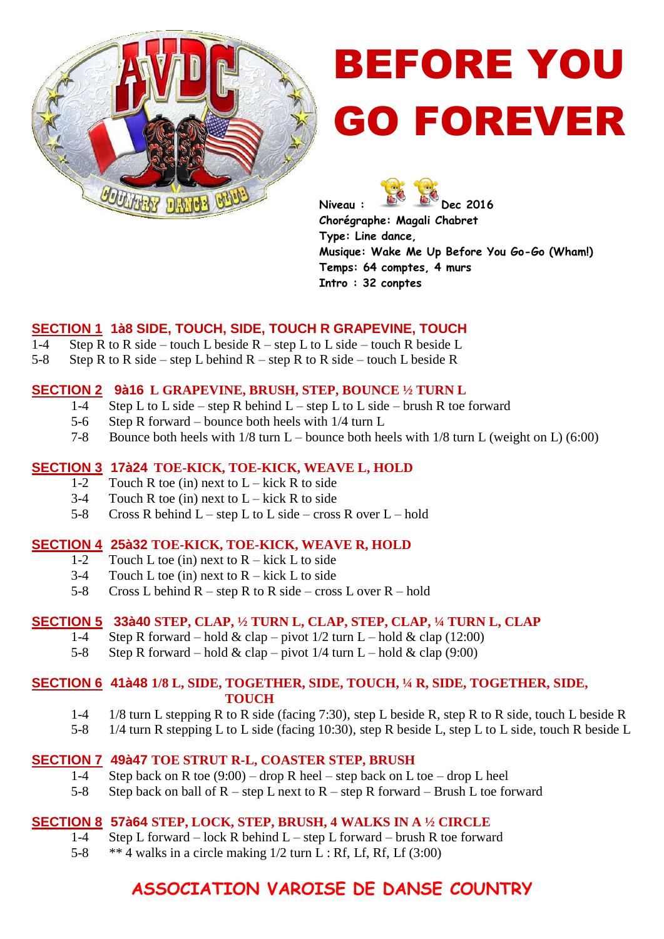

# BEFORE YOU GO FOREVER

Niveau : **Dec 2016 Chorégraphe: Magali Chabret Type: Line dance, Musique: Wake Me Up Before You Go-Go (Wham!) Temps: 64 comptes, 4 murs Intro : 32 conptes**

# **SECTION 1 1à8 SIDE, TOUCH, SIDE, TOUCH R GRAPEVINE, TOUCH**

- 1-4 Step R to R side touch L beside  $R$  step L to L side touch R beside L
- 5-8 Step R to R side step L behind  $R$  step R to R side touch L beside R

## **SECTION 2 9à16 L GRAPEVINE, BRUSH, STEP, BOUNCE ½ TURN L**

- 1-4 Step L to L side step R behind  $L$  step L to L side brush R toe forward
- 5-6 Step R forward bounce both heels with 1/4 turn L
- 7-8 Bounce both heels with 1/8 turn L bounce both heels with 1/8 turn L (weight on L) (6:00)

## **SECTION 3 17à24 TOE-KICK, TOE-KICK, WEAVE L, HOLD**

- 1-2 Touch R toe (in) next to  $L -$ kick R to side
- 3-4 Touch R toe (in) next to  $L -$ kick R to side
- 5-8 Cross R behind  $L step L$  to L side cross R over  $L hold$

#### **SECTION 4 25à32 TOE-KICK, TOE-KICK, WEAVE R, HOLD**

- 1-2 Touch L toe (in) next to  $R -$ kick L to side
- 3-4 Touch L toe (in) next to  $R -$ kick L to side
- 5-8 Cross L behind  $R$  step R to R side cross L over  $R$  hold

# **SECTION 5 33à40 STEP, CLAP, ½ TURN L, CLAP, STEP, CLAP, ¼ TURN L, CLAP**

- 1-4 Step R forward hold & clap pivot  $1/2$  turn L hold & clap (12:00)
- 5-8 Step R forward hold & clap pivot  $1/4$  turn L hold & clap (9:00)

#### **SECTION 6 41à48 1/8 L, SIDE, TOGETHER, SIDE, TOUCH, ¼ R, SIDE, TOGETHER, SIDE, TOUCH**

- 1-4 1/8 turn L stepping R to R side (facing 7:30), step L beside R, step R to R side, touch L beside R
- 5-8 1/4 turn R stepping L to L side (facing 10:30), step R beside L, step L to L side, touch R beside L

# **SECTION 7 49à47 TOE STRUT R-L, COASTER STEP, BRUSH**

- 1-4 Step back on R toe  $(9:00)$  drop R heel step back on L toe drop L heel
- 5-8 Step back on ball of  $R$  step L next to  $R$  step R forward Brush L toe forward

# **SECTION 8 57à64 STEP, LOCK, STEP, BRUSH, 4 WALKS IN A ½ CIRCLE**

- 1-4 Step L forward lock R behind L step L forward brush R toe forward
- 5-8  $**$  4 walks in a circle making  $1/2$  turn L : Rf, Lf, Rf, Lf (3:00)

# **ASSOCIATION VAROISE DE DANSE COUNTRY**